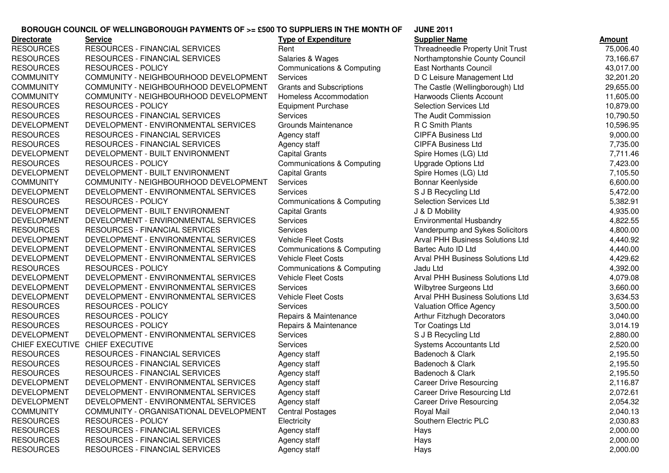## **JUNE 2011BOROUGH COUNCIL OF WELLINGBOROUGH PAYMENTS OF >= £500 TO SUPPLIERS IN THE MONTH OF**

| <b>Directorate</b> | <b>Service</b>                         | <b>Type of Expenditure</b>            | <b>Supplier Name</b>             | <u>Amount</u> |
|--------------------|----------------------------------------|---------------------------------------|----------------------------------|---------------|
| <b>RESOURCES</b>   | RESOURCES - FINANCIAL SERVICES         | Rent                                  | Threadneedle Property Unit Trust | 75,006.40     |
| <b>RESOURCES</b>   | RESOURCES - FINANCIAL SERVICES         | Salaries & Wages                      | Northamptonshie County Council   | 73,166.67     |
| <b>RESOURCES</b>   | <b>RESOURCES - POLICY</b>              | <b>Communications &amp; Computing</b> | <b>East Northants Council</b>    | 43,017.00     |
| <b>COMMUNITY</b>   | COMMUNITY - NEIGHBOURHOOD DEVELOPMENT  | Services                              | D C Leisure Management Ltd       | 32,201.20     |
| <b>COMMUNITY</b>   | COMMUNITY - NEIGHBOURHOOD DEVELOPMENT  | <b>Grants and Subscriptions</b>       | The Castle (Wellingborough) Ltd  | 29,655.00     |
| <b>COMMUNITY</b>   | COMMUNITY - NEIGHBOURHOOD DEVELOPMENT  | Homeless Accommodation                | Harwoods Clients Account         | 11,605.00     |
| <b>RESOURCES</b>   | <b>RESOURCES - POLICY</b>              | <b>Equipment Purchase</b>             | <b>Selection Services Ltd</b>    | 10,879.00     |
| <b>RESOURCES</b>   | <b>RESOURCES - FINANCIAL SERVICES</b>  | Services                              | The Audit Commission             | 10,790.50     |
| <b>DEVELOPMENT</b> | DEVELOPMENT - ENVIRONMENTAL SERVICES   | <b>Grounds Maintenance</b>            | R C Smith Plants                 | 10,596.95     |
| <b>RESOURCES</b>   | RESOURCES - FINANCIAL SERVICES         | Agency staff                          | <b>CIPFA Business Ltd</b>        | 9,000.00      |
| <b>RESOURCES</b>   | <b>RESOURCES - FINANCIAL SERVICES</b>  | Agency staff                          | <b>CIPFA Business Ltd</b>        | 7,735.00      |
| <b>DEVELOPMENT</b> | DEVELOPMENT - BUILT ENVIRONMENT        | <b>Capital Grants</b>                 | Spire Homes (LG) Ltd             | 7,711.46      |
| <b>RESOURCES</b>   | <b>RESOURCES - POLICY</b>              | <b>Communications &amp; Computing</b> | <b>Upgrade Options Ltd</b>       | 7,423.00      |
| <b>DEVELOPMENT</b> | DEVELOPMENT - BUILT ENVIRONMENT        | <b>Capital Grants</b>                 | Spire Homes (LG) Ltd             | 7,105.50      |
| <b>COMMUNITY</b>   | COMMUNITY - NEIGHBOURHOOD DEVELOPMENT  | Services                              | Bonnar Keenlyside                | 6,600.00      |
| <b>DEVELOPMENT</b> | DEVELOPMENT - ENVIRONMENTAL SERVICES   | Services                              | S J B Recycling Ltd              | 5,472.00      |
| <b>RESOURCES</b>   | <b>RESOURCES - POLICY</b>              | Communications & Computing            | Selection Services Ltd           | 5,382.91      |
| <b>DEVELOPMENT</b> | DEVELOPMENT - BUILT ENVIRONMENT        | <b>Capital Grants</b>                 | J & D Mobility                   | 4,935.00      |
| <b>DEVELOPMENT</b> | DEVELOPMENT - ENVIRONMENTAL SERVICES   | Services                              | <b>Environmental Husbandry</b>   | 4,822.55      |
| <b>RESOURCES</b>   | RESOURCES - FINANCIAL SERVICES         | <b>Services</b>                       | Vanderpump and Sykes Solicitors  | 4,800.00      |
| <b>DEVELOPMENT</b> | DEVELOPMENT - ENVIRONMENTAL SERVICES   | <b>Vehicle Fleet Costs</b>            | Arval PHH Business Solutions Ltd | 4,440.92      |
| <b>DEVELOPMENT</b> | DEVELOPMENT - ENVIRONMENTAL SERVICES   | Communications & Computing            | Bartec Auto ID Ltd               | 4,440.00      |
| <b>DEVELOPMENT</b> | DEVELOPMENT - ENVIRONMENTAL SERVICES   | <b>Vehicle Fleet Costs</b>            | Arval PHH Business Solutions Ltd | 4,429.62      |
| <b>RESOURCES</b>   | <b>RESOURCES - POLICY</b>              | Communications & Computing            | Jadu Ltd                         | 4,392.00      |
| <b>DEVELOPMENT</b> | DEVELOPMENT - ENVIRONMENTAL SERVICES   | <b>Vehicle Fleet Costs</b>            | Arval PHH Business Solutions Ltd | 4,079.08      |
| <b>DEVELOPMENT</b> | DEVELOPMENT - ENVIRONMENTAL SERVICES   | Services                              | Wilbytree Surgeons Ltd           | 3,660.00      |
| <b>DEVELOPMENT</b> | DEVELOPMENT - ENVIRONMENTAL SERVICES   | <b>Vehicle Fleet Costs</b>            | Arval PHH Business Solutions Ltd | 3,634.53      |
| <b>RESOURCES</b>   | <b>RESOURCES - POLICY</b>              | Services                              | Valuation Office Agency          | 3,500.00      |
| <b>RESOURCES</b>   | <b>RESOURCES - POLICY</b>              | Repairs & Maintenance                 | Arthur Fitzhugh Decorators       | 3,040.00      |
| <b>RESOURCES</b>   | <b>RESOURCES - POLICY</b>              | Repairs & Maintenance                 | <b>Tor Coatings Ltd</b>          | 3,014.19      |
| <b>DEVELOPMENT</b> | DEVELOPMENT - ENVIRONMENTAL SERVICES   | Services                              | S J B Recycling Ltd              | 2,880.00      |
|                    | CHIEF EXECUTIVE CHIEF EXECUTIVE        | Services                              | Systems Accountants Ltd          | 2,520.00      |
| <b>RESOURCES</b>   | RESOURCES - FINANCIAL SERVICES         | Agency staff                          | Badenoch & Clark                 | 2,195.50      |
| <b>RESOURCES</b>   | RESOURCES - FINANCIAL SERVICES         | Agency staff                          | Badenoch & Clark                 | 2,195.50      |
| <b>RESOURCES</b>   | RESOURCES - FINANCIAL SERVICES         | Agency staff                          | Badenoch & Clark                 | 2,195.50      |
| <b>DEVELOPMENT</b> | DEVELOPMENT - ENVIRONMENTAL SERVICES   | Agency staff                          | <b>Career Drive Resourcing</b>   | 2,116.87      |
| DEVELOPMENT        | DEVELOPMENT - ENVIRONMENTAL SERVICES   | Agency staff                          | Career Drive Resourcing Ltd      | 2,072.61      |
| <b>DEVELOPMENT</b> | DEVELOPMENT - ENVIRONMENTAL SERVICES   | Agency staff                          | <b>Career Drive Resourcing</b>   | 2,054.32      |
| <b>COMMUNITY</b>   | COMMUNITY - ORGANISATIONAL DEVELOPMENT | <b>Central Postages</b>               | Royal Mail                       | 2,040.13      |
| <b>RESOURCES</b>   | <b>RESOURCES - POLICY</b>              | Electricity                           | Southern Electric PLC            | 2,030.83      |
| <b>RESOURCES</b>   | RESOURCES - FINANCIAL SERVICES         | Agency staff                          | Hays                             | 2,000.00      |
| <b>RESOURCES</b>   | RESOURCES - FINANCIAL SERVICES         | Agency staff                          | Hays                             | 2,000.00      |
| <b>RESOURCES</b>   | RESOURCES - FINANCIAL SERVICES         | Agency staff                          | Hays                             | 2,000.00      |
|                    |                                        |                                       |                                  |               |

| <b>Supplier Name</b>                    | <u>Amount</u>        |
|-----------------------------------------|----------------------|
| <b>Threadneedle Property Unit Trust</b> | 75,006.40            |
| Northamptonshie County Council          | 73,166.67            |
| <b>East Northants Council</b>           | 43,017.00            |
| D C Leisure Management Ltd              | 32,201.20            |
| The Castle (Wellingborough) Ltd         | 29,655.00            |
| <b>Harwoods Clients Account</b>         | 11,605.00            |
| <b>Selection Services Ltd</b>           | 10,879.00            |
| The Audit Commission                    | 10,790.50            |
| R C Smith Plants                        | 10,596.95            |
| <b>CIPFA Business Ltd</b>               | 9,000.00             |
| <b>CIPFA Business Ltd</b>               | 7,735.00             |
| Spire Homes (LG) Ltd                    | 7,711.46             |
| <b>Upgrade Options Ltd</b>              | 7,423.00             |
| Spire Homes (LG) Ltd                    | 7,105.50             |
| Bonnar Keenlyside                       | 6,600.00             |
| S J B Recycling Ltd                     | 5,472.00             |
| <b>Selection Services Ltd</b>           | 5,382.91             |
| J & D Mobility                          | 4,935.00             |
| <b>Environmental Husbandry</b>          | 4,822.55             |
| Vanderpump and Sykes Solicitors         | 4,800.00             |
| <b>Arval PHH Business Solutions Ltd</b> | 4,440.92             |
| Bartec Auto ID Ltd                      | 4,440.00             |
| <b>Arval PHH Business Solutions Ltd</b> | 4,429.62             |
| Jadu Ltd                                | 4,392.00             |
| <b>Arval PHH Business Solutions Ltd</b> | 4,079.08             |
| Wilbytree Surgeons Ltd                  | 3,660.00             |
| <b>Arval PHH Business Solutions Ltd</b> | 3,634.53             |
| <b>Valuation Office Agency</b>          | 3,500.00             |
| <b>Arthur Fitzhugh Decorators</b>       | 3,040.00             |
| <b>Tor Coatings Ltd</b>                 | 3,014.19             |
| S J B Recycling Ltd                     | 2,880.00             |
| <b>Systems Accountants Ltd</b>          | 2,520.00             |
| Badenoch & Clark                        | 2,195.50             |
| Badenoch & Clark                        | 2,195.50             |
| Badenoch & Clark                        | 2,195.50             |
| <b>Career Drive Resourcing</b>          | 2,116.87             |
| Career Drive Resourcing Ltd             | 2,072.61<br>2,054.32 |
| <b>Career Drive Resourcing</b>          |                      |
| Royal Mail<br>Southern Electric PLC     | 2,040.13             |
|                                         | 2,030.83             |
| Hays                                    | 2,000.00             |
| Hays                                    | 2,000.00<br>2,000.00 |
| Hays                                    |                      |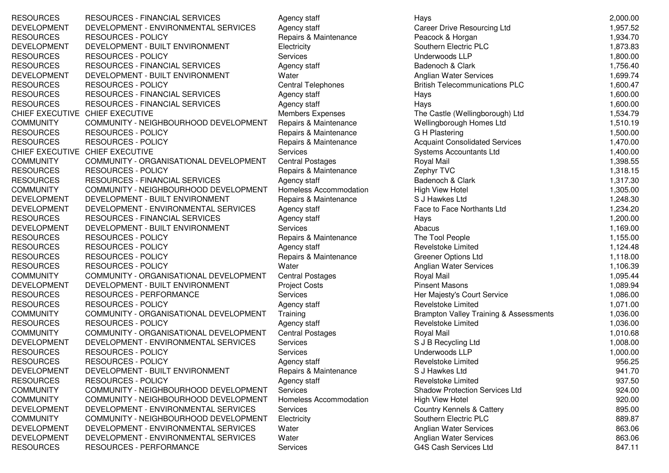RESOURCES RESOURCES - FINANCIAL SERVICES Agency staff DEVELOPMENT DEVELOPMENT - ENVIRONMENTAL SERVICES Agency staff RESOURCES RESOURCES - POLICY Repairs & Maintenance DEVELOPMENT DEVELOPMENT - BUILT ENVIRONMENT Electricity RESOURCES RESOURCES - POLICY Services RESOURCES RESOURCES - FINANCIAL SERVICES Agency staff DEVELOPMENT DEVELOPMENT - BUILT ENVIRONMENT Water RESOURCES RESOURCES - POLICY Central Telephones British Telecommunications PLC 1,600.47 RESOURCES RESOURCES - FINANCIAL SERVICES Agency staff RESOURCES RESOURCES - FINANCIAL SERVICES Agency staff Agency staff CHIEF EXECUTIVE CHIEF EXECUTIVE CHIEF EXECUTIVE CHIEF EXECUTIVECOMMUNITY COMMUNITY - NEIGHBOURHOOD DEVELOPMENT Repairs & Maintenance RESOURCES RESOURCES - POLICY REPAIRS Repairs & Maintenance RESOURCES RESOURCES - POLICY Repairs & Maintenance CHIEF EXECUTIVE CHIEF EXECUTIVECOMMUNITY COMMUNITY - ORGANISATIONAL DEVELOPMENT Central Postages<br>RESOURCES RESOURCES - POLICY Repairs & Mainte RESOURCES - POLICY<br>
Repairs & Maintenance<br>
RESOURCES - FINANCIAL SERVICES<br>
Agency staff RESOURCES RESOURCES - FINANCIAL SERVICES COMMUNITY COMMUNITY - NEIGHBOURHOOD DEVELOPMENT Homeless Accommodation DEVELOPMENT DEVELOPMENT - BUILT ENVIRONMENT Repairs & Maintenance DEVELOPMENT DEVELOPMENT - ENVIRONMENTAL SERVICES Agency staff RESOURCES RESOURCES - FINANCIAL SERVICES Agency staff DEVELOPMENT DEVELOPMENT - BUILT ENVIRONMENT Services RESOURCES RESOURCES - POLICY REPAIRS Repairs & Maintenance RESOURCES RESOURCES - POLICY Agency staff Agency staff Agency staff Agency staff Agency staff RESOURCES RESOURCES - POLICY Repairs & Maintenance RESOURCES RESOURCES - POLICY **Resources and Service and Anglian Water** Anglian Water Services **1,106.39** 1,106.39 COMMUNITY COMMUNITY - ORGANISATIONAL DEVELOPMENT Central Postages<br>DEVELOPMENT DEVELOPMENT - BUILT ENVIRONMENT Project Costs DEVELOPMENT DEVELOPMENT - BUILT ENVIRONMENT Project C<br>RESOURCES RESOURCES - PERFORMANCE Services RESOURCES RESOURCES - PERFORMANCE<br>RESOURCES RESOURCES - POLICY RESOURCES - POLICY<br>
COMMUNITY - ORGANISATIONAL DEVELOPMENT Training COMMUNITY COMMUNITY - ORGANISATIONAL DEVELOPMENT RESOURCES RESOURCES - POLICY Agency staff<br>
COMMUNITY COMMUNITY - ORGANISATIONAL DEVELOPMENT Central Postages COMMUNITY COMMUNITY - ORGANISATIONAL DEVELOPMENT DEVELOPMENT DEVELOPMENT - ENVIRONMENTAL SERVICES Services RESOURCES RESOURCES - POLICY Services RESOURCES RESOURCES - POLICY RESOURCES Agency staff DEVELOPMENT DEVELOPMENT - BUILT ENVIRONMENT Repairs & Maintenance RESOURCES RESOURCES - POLICY Agency staff Agency staff Agency staff Agency staff Agency staff COMMUNITY COMMUNITY - NEIGHBOURHOOD DEVELOPMENT Services COMMUNITY COMMUNITY - NEIGHBOURHOOD DEVELOPMENT Homeless Accommodation DEVELOPMENT DEVELOPMENT - ENVIRONMENTAL SERVICES Services COMMUNITY COMMUNITY - NEIGHBOURHOOD DEVELOPMENT Electricity DEVELOPMENT DEVELOPMENT - ENVIRONMENTAL SERVICES Water DEVELOPMENT DEVELOPMENT - ENVIRONMENTAL SERVICES Water RESOURCES RESOURCES - PERFORMANCE Services

| <b>VANCIAL SERVICES</b>          | Agency staff            | Hays                                              | 2,000.00 |
|----------------------------------|-------------------------|---------------------------------------------------|----------|
| <b>ENVIRONMENTAL SERVICES</b>    | Agency staff            | <b>Career Drive Resourcing Ltd</b>                | 1,957.52 |
| <b>JLICY</b>                     | Repairs & Maintenance   | Peacock & Horgan                                  | 1,934.70 |
| <b>BUILT ENVIRONMENT</b>         | Electricity             | Southern Electric PLC                             | 1,873.83 |
| <b>JLICY</b>                     | Services                | Underwoods LLP                                    | 1,800.00 |
| <b>VANCIAL SERVICES</b>          | Agency staff            | Badenoch & Clark                                  | 1,756.40 |
| <b>BUILT ENVIRONMENT</b>         | Water                   | Anglian Water Services                            | 1,699.74 |
| <b>JLICY</b>                     | Central Telephones      | <b>British Telecommunications PLC</b>             | 1,600.47 |
| <b>VANCIAL SERVICES</b>          | Agency staff            | Hays                                              | 1,600.00 |
| <b>VANCIAL SERVICES</b>          | Agency staff            | Hays                                              | 1,600.00 |
|                                  | Members Expenses        | The Castle (Wellingborough) Ltd                   | 1,534.79 |
| <b>IGHBOURHOOD DEVELOPMENT</b>   | Repairs & Maintenance   | Wellingborough Homes Ltd                          | 1,510.19 |
| <b>DLICY</b>                     | Repairs & Maintenance   | G H Plastering                                    | 1,500.00 |
| <b>DLICY</b>                     | Repairs & Maintenance   | <b>Acquaint Consolidated Services</b>             | 1,470.00 |
|                                  | Services                | Systems Accountants Ltd                           | 1,400.00 |
| <b>RGANISATIONAL DEVELOPMENT</b> | <b>Central Postages</b> | Royal Mail                                        | 1,398.55 |
| <b>DLICY</b>                     | Repairs & Maintenance   | Zephyr TVC                                        | 1,318.15 |
| <b>VANCIAL SERVICES</b>          | Agency staff            | Badenoch & Clark                                  | 1,317.30 |
| <b>IGHBOURHOOD DEVELOPMENT</b>   | Homeless Accommodation  | <b>High View Hotel</b>                            | 1,305.00 |
| <b>BUILT ENVIRONMENT</b>         | Repairs & Maintenance   | S J Hawkes Ltd                                    | 1,248.30 |
| <b>ENVIRONMENTAL SERVICES</b>    | Agency staff            | Face to Face Northants Ltd                        | 1,234.20 |
| <b>VANCIAL SERVICES</b>          | Agency staff            | Hays                                              | 1,200.00 |
| <b>BUILT ENVIRONMENT</b>         | Services                | Abacus                                            | 1,169.00 |
| <b>DLICY</b>                     | Repairs & Maintenance   | The Tool People                                   | 1,155.00 |
| <b>DLICY</b>                     | Agency staff            | Revelstoke Limited                                | 1,124.48 |
| <b>DLICY</b>                     | Repairs & Maintenance   | <b>Greener Options Ltd</b>                        | 1,118.00 |
| <b>JLICY</b>                     | Water                   | Anglian Water Services                            | 1,106.39 |
| <b>RGANISATIONAL DEVELOPMENT</b> | <b>Central Postages</b> | Royal Mail                                        | 1,095.44 |
| <b>BUILT ENVIRONMENT</b>         | <b>Project Costs</b>    | <b>Pinsent Masons</b>                             | 1,089.94 |
| <b>ERFORMANCE</b>                | Services                | Her Majesty's Court Service                       | 1,086.00 |
| <b>JLICY</b>                     | Agency staff            | Revelstoke Limited                                | 1,071.00 |
| <b>RGANISATIONAL DEVELOPMENT</b> | Training                | <b>Brampton Valley Training &amp; Assessments</b> | 1,036.00 |
| <b>JLICY</b>                     | Agency staff            | Revelstoke Limited                                | 1,036.00 |
| <b>GANISATIONAL DEVELOPMENT</b>  | <b>Central Postages</b> | Royal Mail                                        | 1,010.68 |
| <b>ENVIRONMENTAL SERVICES</b>    | Services                | S J B Recycling Ltd                               | 1,008.00 |
| <b>JLICY</b>                     | Services                | Underwoods LLP                                    | 1,000.00 |
| <b>DLICY</b>                     | Agency staff            | Revelstoke Limited                                | 956.25   |
| <b>BUILT ENVIRONMENT</b>         | Repairs & Maintenance   | S J Hawkes Ltd                                    | 941.70   |
| <b>DLICY</b>                     | Agency staff            | <b>Revelstoke Limited</b>                         | 937.50   |
| IGHBOURHOOD DEVELOPMENT          | Services                | <b>Shadow Protection Services Ltd</b>             | 924.00   |
| IGHBOURHOOD DEVELOPMENT          | Homeless Accommodation  | <b>High View Hotel</b>                            | 920.00   |
| <b>ENVIRONMENTAL SERVICES</b>    | Services                | <b>Country Kennels &amp; Cattery</b>              | 895.00   |
| <b>IGHBOURHOOD DEVELOPMENT</b>   | Electricity             | Southern Electric PLC                             | 889.87   |
| <b>ENVIRONMENTAL SERVICES</b>    | Water                   | Anglian Water Services                            | 863.06   |
| <b>ENVIRONMENTAL SERVICES</b>    | Water                   | <b>Anglian Water Services</b>                     | 863.06   |
| <b>ERFORMANCE</b>                | Services                | G4S Cash Services Ltd                             | 847.11   |
|                                  |                         |                                                   |          |